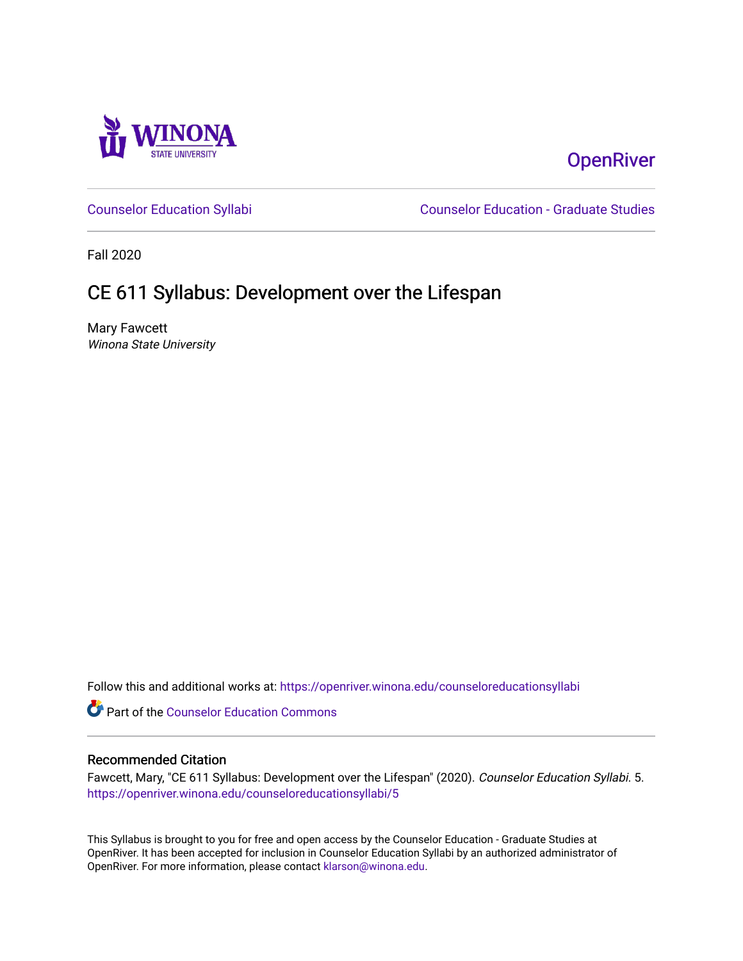

# **OpenRiver**

[Counselor Education Syllabi](https://openriver.winona.edu/counseloreducationsyllabi) [Counselor Education - Graduate Studies](https://openriver.winona.edu/counseloreducation) 

Fall 2020

# CE 611 Syllabus: Development over the Lifespan

Mary Fawcett Winona State University

Follow this and additional works at: [https://openriver.winona.edu/counseloreducationsyllabi](https://openriver.winona.edu/counseloreducationsyllabi?utm_source=openriver.winona.edu%2Fcounseloreducationsyllabi%2F5&utm_medium=PDF&utm_campaign=PDFCoverPages)

Part of the [Counselor Education Commons](http://network.bepress.com/hgg/discipline/1278?utm_source=openriver.winona.edu%2Fcounseloreducationsyllabi%2F5&utm_medium=PDF&utm_campaign=PDFCoverPages) 

#### Recommended Citation

Fawcett, Mary, "CE 611 Syllabus: Development over the Lifespan" (2020). Counselor Education Syllabi. 5. [https://openriver.winona.edu/counseloreducationsyllabi/5](https://openriver.winona.edu/counseloreducationsyllabi/5?utm_source=openriver.winona.edu%2Fcounseloreducationsyllabi%2F5&utm_medium=PDF&utm_campaign=PDFCoverPages) 

This Syllabus is brought to you for free and open access by the Counselor Education - Graduate Studies at OpenRiver. It has been accepted for inclusion in Counselor Education Syllabi by an authorized administrator of OpenRiver. For more information, please contact [klarson@winona.edu](mailto:klarson@winona.edu).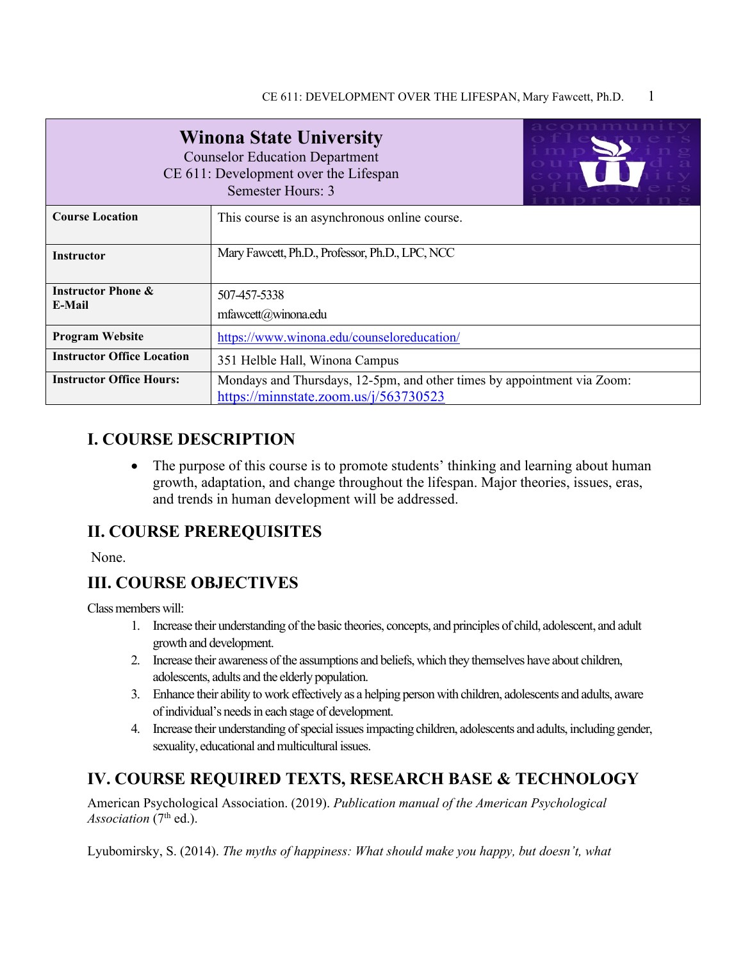| <b>Winona State University</b><br><b>Counselor Education Department</b><br>CE 611: Development over the Lifespan<br>Semester Hours: 3 |                                                                                                                  |  |
|---------------------------------------------------------------------------------------------------------------------------------------|------------------------------------------------------------------------------------------------------------------|--|
| <b>Course Location</b>                                                                                                                | This course is an asynchronous online course.                                                                    |  |
| <b>Instructor</b>                                                                                                                     | Mary Fawcett, Ph.D., Professor, Ph.D., LPC, NCC                                                                  |  |
| <b>Instructor Phone &amp;</b><br>E-Mail                                                                                               | 507-457-5338<br>mfawcett@winona.edu                                                                              |  |
| <b>Program Website</b>                                                                                                                | https://www.winona.edu/counseloreducation/                                                                       |  |
| <b>Instructor Office Location</b>                                                                                                     | 351 Helble Hall, Winona Campus                                                                                   |  |
| <b>Instructor Office Hours:</b>                                                                                                       | Mondays and Thursdays, 12-5pm, and other times by appointment via Zoom:<br>https://minnstate.zoom.us/j/563730523 |  |

# **I. COURSE DESCRIPTION**

• The purpose of this course is to promote students' thinking and learning about human growth, adaptation, and change throughout the lifespan. Major theories, issues, eras, and trends in human development will be addressed.

# **II. COURSE PREREQUISITES**

None.

# **III. COURSE OBJECTIVES**

Class members will:

- 1. Increase their understanding of the basic theories, concepts, and principles of child, adolescent, and adult growth and development.
- 2. Increase their awareness of the assumptions and beliefs, which they themselves have about children, adolescents, adults and the elderly population.
- 3. Enhance their ability to work effectively as a helping person with children, adolescents and adults, aware of individual's needs in each stage of development.
- 4. Increase their understanding of special issues impacting children, adolescents and adults, including gender, sexuality, educational and multicultural issues.

# **IV. COURSE REQUIRED TEXTS, RESEARCH BASE & TECHNOLOGY**

American Psychological Association. (2019). *Publication manual of the American Psychological Association* (7<sup>th</sup> ed.).

Lyubomirsky, S. (2014). *The myths of happiness: What should make you happy, but doesn't, what*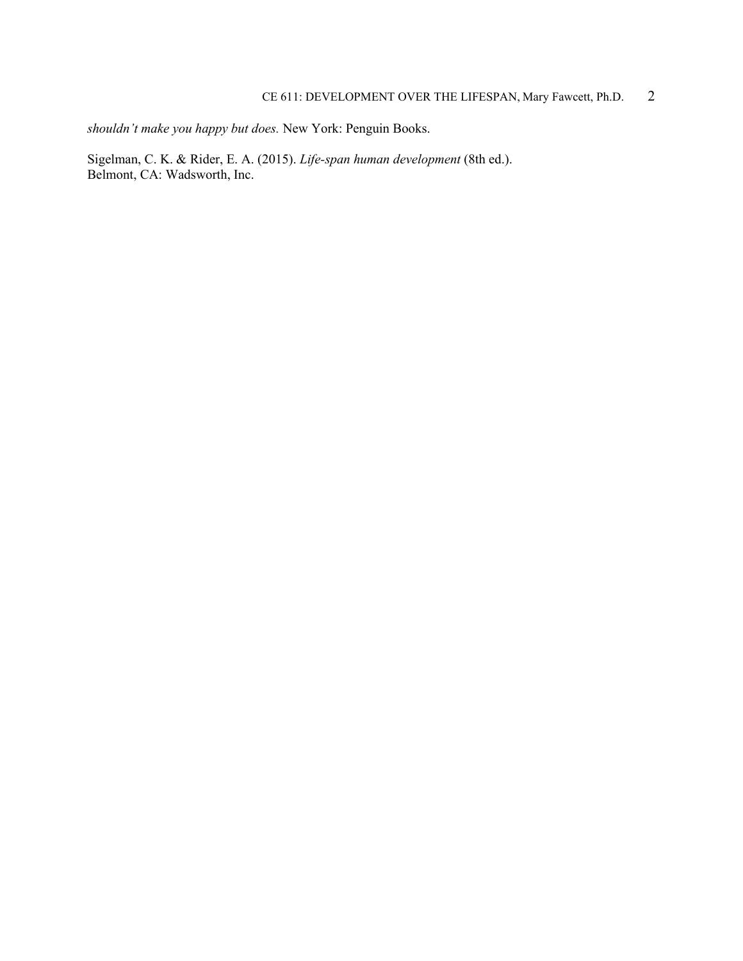# CE 611: DEVELOPMENT OVER THE LIFESPAN, Mary Fawcett, Ph.D. 2

*shouldn't make you happy but does.* New York: Penguin Books.

Sigelman, C. K. & Rider, E. A. (2015). *Life-span human development* (8th ed.). Belmont, CA: Wadsworth, Inc.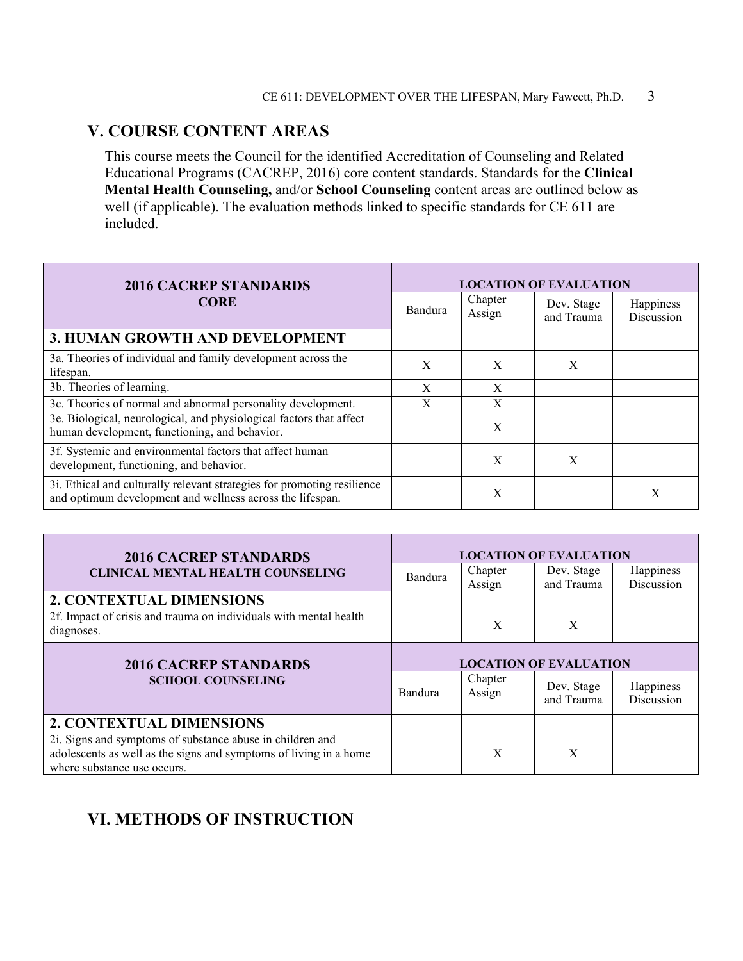# **V. COURSE CONTENT AREAS**

This course meets the Council for the identified Accreditation of Counseling and Related Educational Programs (CACREP, 2016) core content standards. Standards for the **Clinical Mental Health Counseling,** and/or **School Counseling** content areas are outlined below as well (if applicable). The evaluation methods linked to specific standards for CE 611 are included.

| <b>2016 CACREP STANDARDS</b>                                                                                                         | <b>LOCATION OF EVALUATION</b> |                   |                          |                         |
|--------------------------------------------------------------------------------------------------------------------------------------|-------------------------------|-------------------|--------------------------|-------------------------|
| <b>CORE</b>                                                                                                                          | Bandura                       | Chapter<br>Assign | Dev. Stage<br>and Trauma | Happiness<br>Discussion |
| 3. HUMAN GROWTH AND DEVELOPMENT                                                                                                      |                               |                   |                          |                         |
| 3a. Theories of individual and family development across the<br>lifespan.                                                            | X                             | X                 | X                        |                         |
| 3b. Theories of learning.                                                                                                            | X                             | X                 |                          |                         |
| 3c. Theories of normal and abnormal personality development.                                                                         | X                             | X                 |                          |                         |
| 3e. Biological, neurological, and physiological factors that affect<br>human development, functioning, and behavior.                 |                               | X                 |                          |                         |
| 3f. Systemic and environmental factors that affect human<br>development, functioning, and behavior.                                  |                               | X                 | X                        |                         |
| 3i. Ethical and culturally relevant strategies for promoting resilience<br>and optimum development and wellness across the lifespan. |                               | X                 |                          | Х                       |

| <b>2016 CACREP STANDARDS</b>                                                                                                   | <b>LOCATION OF EVALUATION</b> |                   |                          |                         |
|--------------------------------------------------------------------------------------------------------------------------------|-------------------------------|-------------------|--------------------------|-------------------------|
| <b>CLINICAL MENTAL HEALTH COUNSELING</b>                                                                                       | Bandura                       | Chapter<br>Assign | Dev. Stage<br>and Trauma | Happiness<br>Discussion |
| 2. CONTEXTUAL DIMENSIONS                                                                                                       |                               |                   |                          |                         |
| 2f. Impact of crisis and trauma on individuals with mental health<br>diagnoses.                                                |                               | X                 | X                        |                         |
| <b>2016 CACREP STANDARDS</b>                                                                                                   | <b>LOCATION OF EVALUATION</b> |                   |                          |                         |
| <b>SCHOOL COUNSELING</b>                                                                                                       | Bandura                       | Chapter<br>Assign | Dev. Stage<br>and Trauma | Happiness<br>Discussion |
| 2. CONTEXTUAL DIMENSIONS                                                                                                       |                               |                   |                          |                         |
| 2i. Signs and symptoms of substance abuse in children and<br>adolescents as well as the signs and symptoms of living in a home |                               | X                 | X                        |                         |

# **VI. METHODS OF INSTRUCTION**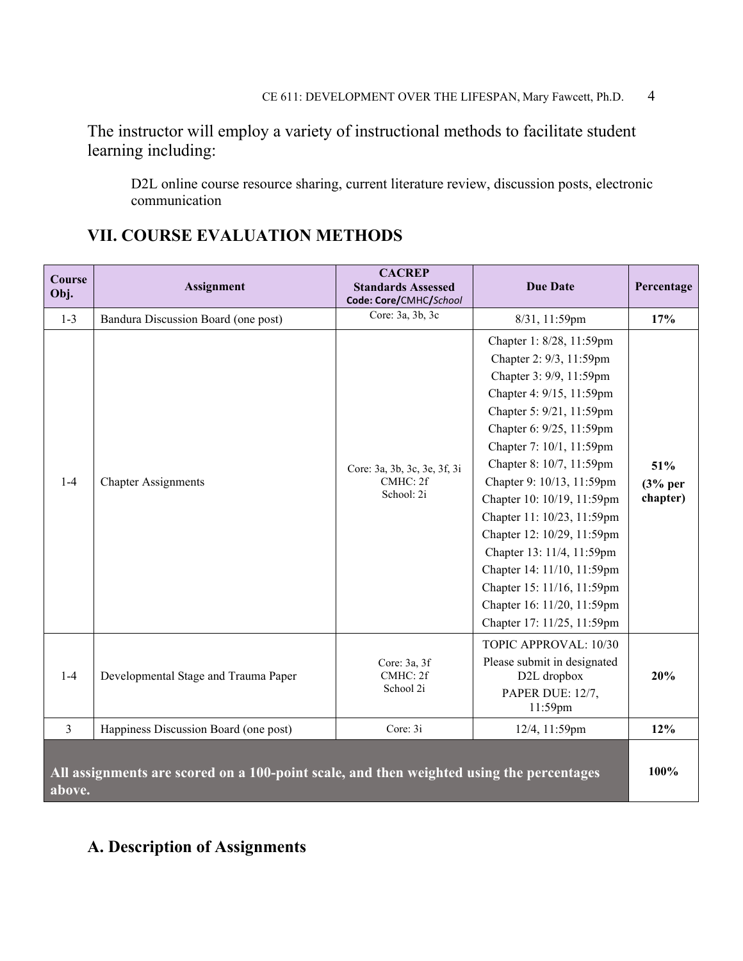The instructor will employ a variety of instructional methods to facilitate student learning including:

D2L online course resource sharing, current literature review, discussion posts, electronic communication

| Course<br>Obj.                                                                                     | <b>Assignment</b>                     | <b>CACREP</b><br><b>Standards Assessed</b><br>Code: Core/CMHC/School | <b>Due Date</b>             | Percentage |
|----------------------------------------------------------------------------------------------------|---------------------------------------|----------------------------------------------------------------------|-----------------------------|------------|
| $1 - 3$                                                                                            | Bandura Discussion Board (one post)   | Core: 3a, 3b, 3c                                                     | 8/31, 11:59pm               | 17%        |
|                                                                                                    |                                       |                                                                      | Chapter 1: 8/28, 11:59pm    |            |
|                                                                                                    |                                       |                                                                      | Chapter 2: 9/3, 11:59pm     |            |
|                                                                                                    |                                       |                                                                      | Chapter 3: 9/9, 11:59pm     |            |
|                                                                                                    |                                       |                                                                      | Chapter 4: 9/15, 11:59pm    |            |
|                                                                                                    |                                       |                                                                      | Chapter 5: 9/21, 11:59pm    |            |
|                                                                                                    |                                       |                                                                      | Chapter 6: 9/25, 11:59pm    |            |
|                                                                                                    |                                       |                                                                      | Chapter 7: 10/1, 11:59pm    |            |
|                                                                                                    |                                       | Core: 3a, 3b, 3c, 3e, 3f, 3i                                         | Chapter 8: 10/7, 11:59pm    | 51%        |
| $1-4$                                                                                              | <b>Chapter Assignments</b>            | CMHC: 2f                                                             | Chapter 9: 10/13, 11:59pm   | $(3%$ per  |
|                                                                                                    |                                       | School: 2i                                                           | Chapter 10: 10/19, 11:59pm  | chapter)   |
|                                                                                                    |                                       |                                                                      | Chapter 11: 10/23, 11:59pm  |            |
|                                                                                                    |                                       |                                                                      | Chapter 12: 10/29, 11:59pm  |            |
|                                                                                                    |                                       |                                                                      | Chapter 13: 11/4, 11:59pm   |            |
|                                                                                                    |                                       |                                                                      | Chapter 14: 11/10, 11:59pm  |            |
|                                                                                                    |                                       |                                                                      | Chapter 15: 11/16, 11:59pm  |            |
|                                                                                                    |                                       |                                                                      | Chapter 16: 11/20, 11:59pm  |            |
|                                                                                                    |                                       |                                                                      | Chapter 17: 11/25, 11:59pm  |            |
|                                                                                                    |                                       |                                                                      | TOPIC APPROVAL: 10/30       |            |
|                                                                                                    | Developmental Stage and Trauma Paper  | Core: 3a, 3f<br>CMHC: 2f<br>School 2i                                | Please submit in designated |            |
| $1 - 4$                                                                                            |                                       |                                                                      | D2L dropbox                 | 20%        |
|                                                                                                    |                                       |                                                                      | PAPER DUE: 12/7,            |            |
|                                                                                                    |                                       |                                                                      | 11:59pm                     |            |
| $\overline{3}$                                                                                     | Happiness Discussion Board (one post) | Core: 3i                                                             | 12/4, 11:59pm               | 12%        |
| All assignments are scored on a 100-point scale, and then weighted using the percentages<br>above. |                                       |                                                                      |                             | 100%       |

# **VII. COURSE EVALUATION METHODS**

# **A. Description of Assignments**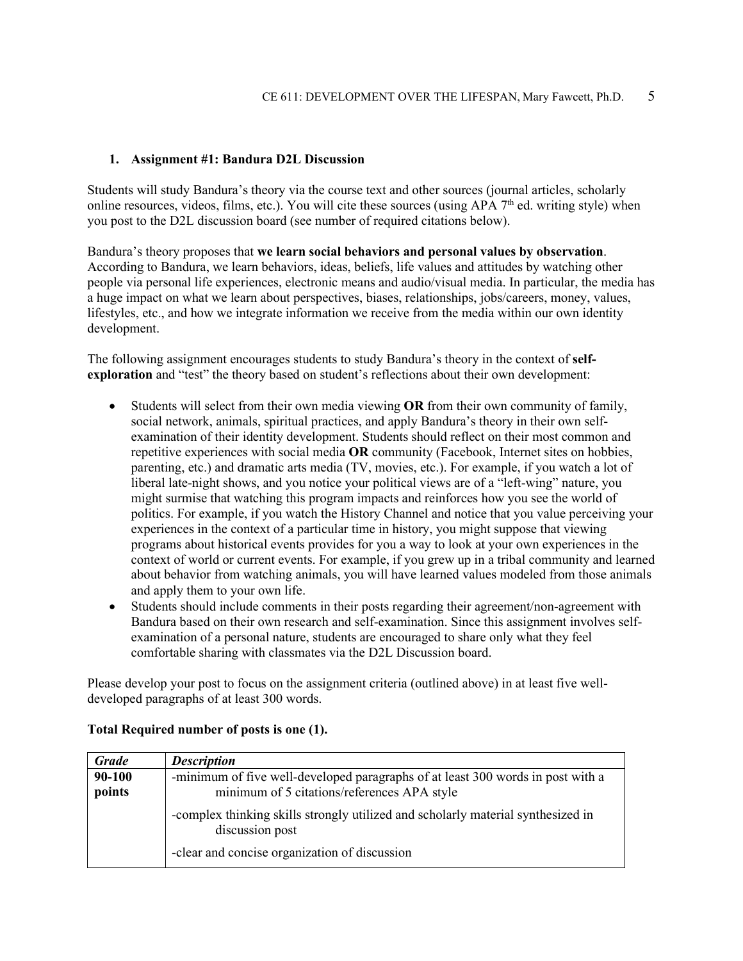#### **1. Assignment #1: Bandura D2L Discussion**

Students will study Bandura's theory via the course text and other sources (journal articles, scholarly online resources, videos, films, etc.). You will cite these sources (using APA  $7<sup>th</sup>$  ed. writing style) when you post to the D2L discussion board (see number of required citations below).

Bandura's theory proposes that **we learn social behaviors and personal values by observation**. According to Bandura, we learn behaviors, ideas, beliefs, life values and attitudes by watching other people via personal life experiences, electronic means and audio/visual media. In particular, the media has a huge impact on what we learn about perspectives, biases, relationships, jobs/careers, money, values, lifestyles, etc., and how we integrate information we receive from the media within our own identity development.

The following assignment encourages students to study Bandura's theory in the context of **selfexploration** and "test" the theory based on student's reflections about their own development:

- Students will select from their own media viewing **OR** from their own community of family, social network, animals, spiritual practices, and apply Bandura's theory in their own selfexamination of their identity development. Students should reflect on their most common and repetitive experiences with social media **OR** community (Facebook, Internet sites on hobbies, parenting, etc.) and dramatic arts media (TV, movies, etc.). For example, if you watch a lot of liberal late-night shows, and you notice your political views are of a "left-wing" nature, you might surmise that watching this program impacts and reinforces how you see the world of politics. For example, if you watch the History Channel and notice that you value perceiving your experiences in the context of a particular time in history, you might suppose that viewing programs about historical events provides for you a way to look at your own experiences in the context of world or current events. For example, if you grew up in a tribal community and learned about behavior from watching animals, you will have learned values modeled from those animals and apply them to your own life.
- Students should include comments in their posts regarding their agreement/non-agreement with Bandura based on their own research and self-examination. Since this assignment involves selfexamination of a personal nature, students are encouraged to share only what they feel comfortable sharing with classmates via the D2L Discussion board.

Please develop your post to focus on the assignment criteria (outlined above) in at least five welldeveloped paragraphs of at least 300 words.

| <b>Grade</b>     | <b>Description</b>                                                                                                             |
|------------------|--------------------------------------------------------------------------------------------------------------------------------|
| 90-100<br>points | -minimum of five well-developed paragraphs of at least 300 words in post with a<br>minimum of 5 citations/references APA style |
|                  | -complex thinking skills strongly utilized and scholarly material synthesized in<br>discussion post                            |
|                  | -clear and concise organization of discussion                                                                                  |

#### **Total Required number of posts is one (1).**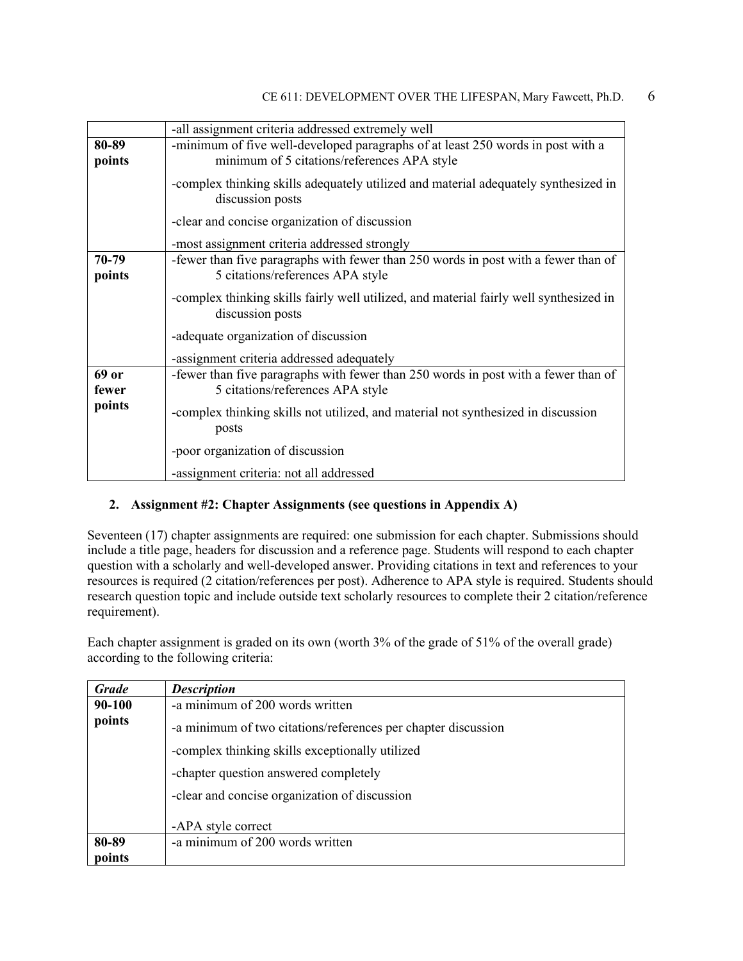|                 | -all assignment criteria addressed extremely well                                                                              |
|-----------------|--------------------------------------------------------------------------------------------------------------------------------|
| 80-89<br>points | -minimum of five well-developed paragraphs of at least 250 words in post with a<br>minimum of 5 citations/references APA style |
|                 | -complex thinking skills adequately utilized and material adequately synthesized in<br>discussion posts                        |
|                 | -clear and concise organization of discussion                                                                                  |
|                 | -most assignment criteria addressed strongly                                                                                   |
| 70-79<br>points | -fewer than five paragraphs with fewer than 250 words in post with a fewer than of<br>5 citations/references APA style         |
|                 | -complex thinking skills fairly well utilized, and material fairly well synthesized in<br>discussion posts                     |
|                 | -adequate organization of discussion                                                                                           |
|                 | -assignment criteria addressed adequately                                                                                      |
| 69 or<br>fewer  | -fewer than five paragraphs with fewer than 250 words in post with a fewer than of<br>5 citations/references APA style         |
| points          | -complex thinking skills not utilized, and material not synthesized in discussion<br>posts                                     |
|                 | -poor organization of discussion                                                                                               |
|                 | -assignment criteria: not all addressed                                                                                        |

## **2. Assignment #2: Chapter Assignments (see questions in Appendix A)**

Seventeen (17) chapter assignments are required: one submission for each chapter. Submissions should include a title page, headers for discussion and a reference page. Students will respond to each chapter question with a scholarly and well-developed answer. Providing citations in text and references to your resources is required (2 citation/references per post). Adherence to APA style is required. Students should research question topic and include outside text scholarly resources to complete their 2 citation/reference requirement).

Each chapter assignment is graded on its own (worth 3% of the grade of 51% of the overall grade) according to the following criteria:

| <b>Grade</b> | <b>Description</b>                                            |  |
|--------------|---------------------------------------------------------------|--|
| 90-100       | -a minimum of 200 words written                               |  |
| points       | -a minimum of two citations/references per chapter discussion |  |
|              | -complex thinking skills exceptionally utilized               |  |
|              | -chapter question answered completely                         |  |
|              | -clear and concise organization of discussion                 |  |
|              | -APA style correct                                            |  |
| 80-89        | -a minimum of 200 words written                               |  |
| points       |                                                               |  |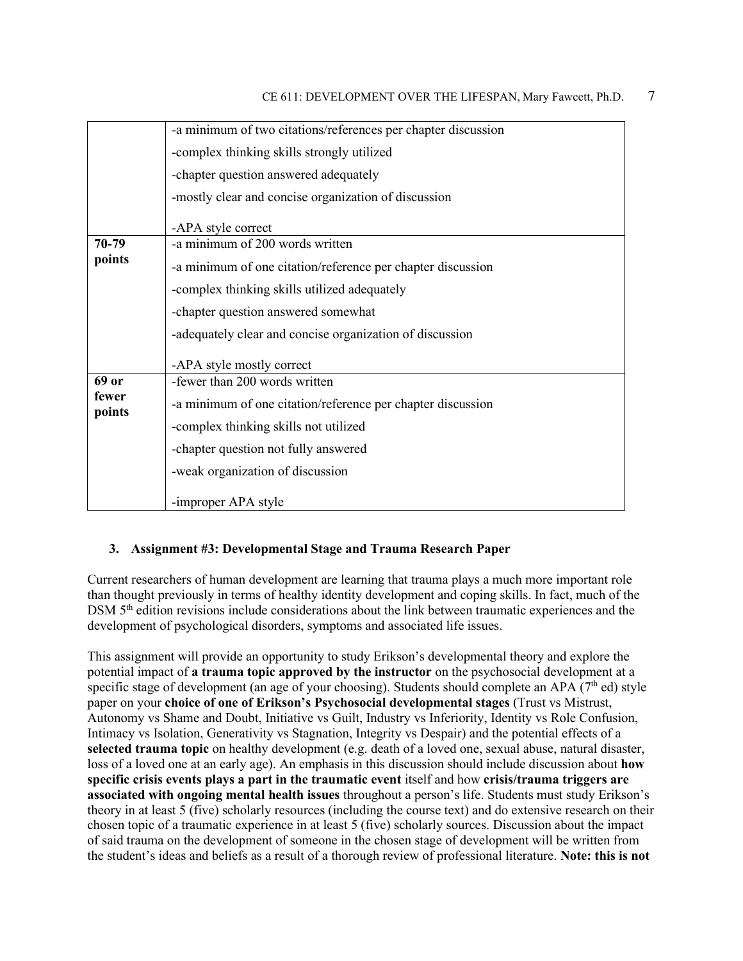|                 | -a minimum of two citations/references per chapter discussion |  |  |
|-----------------|---------------------------------------------------------------|--|--|
|                 | -complex thinking skills strongly utilized                    |  |  |
|                 | -chapter question answered adequately                         |  |  |
|                 | -mostly clear and concise organization of discussion          |  |  |
|                 | -APA style correct                                            |  |  |
| 70-79           | -a minimum of 200 words written                               |  |  |
| points          | -a minimum of one citation/reference per chapter discussion   |  |  |
|                 | -complex thinking skills utilized adequately                  |  |  |
|                 | -chapter question answered somewhat                           |  |  |
|                 | -adequately clear and concise organization of discussion      |  |  |
|                 | -APA style mostly correct                                     |  |  |
| 69 or           | -fewer than 200 words written                                 |  |  |
| fewer<br>points | -a minimum of one citation/reference per chapter discussion   |  |  |
|                 | -complex thinking skills not utilized                         |  |  |
|                 | -chapter question not fully answered                          |  |  |
|                 | -weak organization of discussion                              |  |  |
|                 | -improper APA style                                           |  |  |

#### **3. Assignment #3: Developmental Stage and Trauma Research Paper**

Current researchers of human development are learning that trauma plays a much more important role than thought previously in terms of healthy identity development and coping skills. In fact, much of the DSM  $5<sup>th</sup>$  edition revisions include considerations about the link between traumatic experiences and the development of psychological disorders, symptoms and associated life issues.

This assignment will provide an opportunity to study Erikson's developmental theory and explore the potential impact of **a trauma topic approved by the instructor** on the psychosocial development at a specific stage of development (an age of your choosing). Students should complete an APA ( $7<sup>th</sup>$  ed) style paper on your **choice of one of Erikson's Psychosocial developmental stages** (Trust vs Mistrust, Autonomy vs Shame and Doubt, Initiative vs Guilt, Industry vs Inferiority, Identity vs Role Confusion, Intimacy vs Isolation, Generativity vs Stagnation, Integrity vs Despair) and the potential effects of a **selected trauma topic** on healthy development (e.g. death of a loved one, sexual abuse, natural disaster, loss of a loved one at an early age). An emphasis in this discussion should include discussion about **how specific crisis events plays a part in the traumatic event** itself and how **crisis/trauma triggers are associated with ongoing mental health issues** throughout a person's life. Students must study Erikson's theory in at least 5 (five) scholarly resources (including the course text) and do extensive research on their chosen topic of a traumatic experience in at least 5 (five) scholarly sources. Discussion about the impact of said trauma on the development of someone in the chosen stage of development will be written from the student's ideas and beliefs as a result of a thorough review of professional literature. **Note: this is not**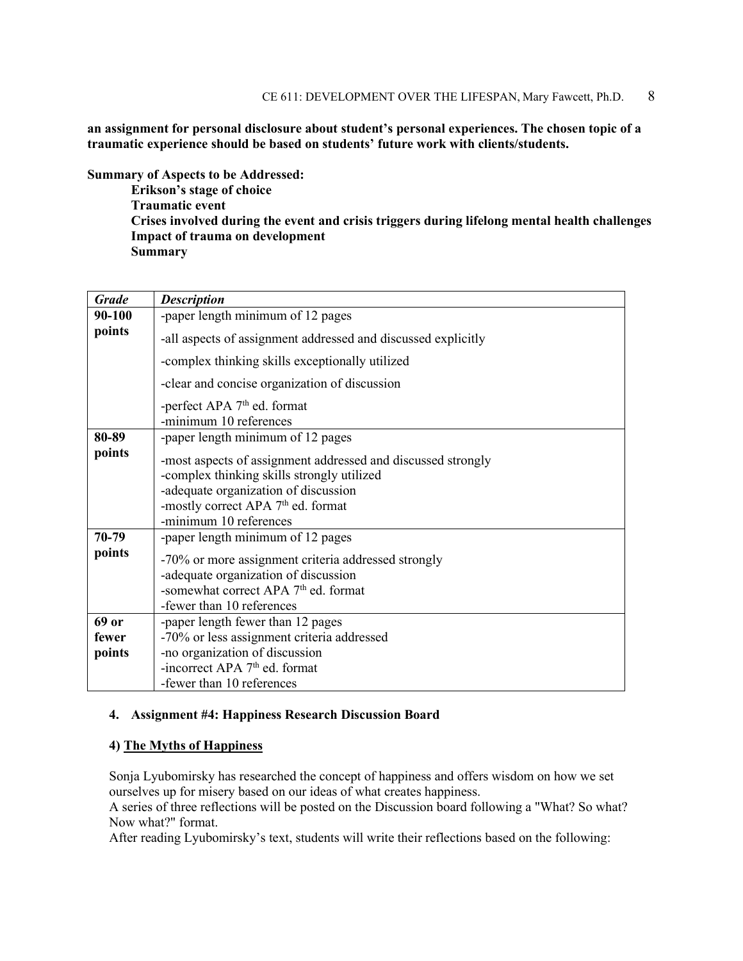**an assignment for personal disclosure about student's personal experiences. The chosen topic of a traumatic experience should be based on students' future work with clients/students.**

**Summary of Aspects to be Addressed:**

**Erikson's stage of choice Traumatic event Crises involved during the event and crisis triggers during lifelong mental health challenges Impact of trauma on development Summary**

| <b>Grade</b> | <b>Description</b>                                                                                         |
|--------------|------------------------------------------------------------------------------------------------------------|
| 90-100       | -paper length minimum of 12 pages                                                                          |
| points       | -all aspects of assignment addressed and discussed explicitly                                              |
|              | -complex thinking skills exceptionally utilized                                                            |
|              | -clear and concise organization of discussion                                                              |
|              | -perfect APA $7th$ ed. format                                                                              |
|              | -minimum 10 references                                                                                     |
| 80-89        | -paper length minimum of 12 pages                                                                          |
| points       | -most aspects of assignment addressed and discussed strongly<br>-complex thinking skills strongly utilized |
|              | -adequate organization of discussion                                                                       |
|              | -mostly correct APA 7 <sup>th</sup> ed. format                                                             |
|              | -minimum 10 references                                                                                     |
| 70-79        | -paper length minimum of 12 pages                                                                          |
| points       |                                                                                                            |
|              | -70% or more assignment criteria addressed strongly                                                        |
|              | -adequate organization of discussion                                                                       |
|              | -somewhat correct APA 7 <sup>th</sup> ed. format                                                           |
|              | -fewer than 10 references                                                                                  |
| 69 or        | -paper length fewer than 12 pages                                                                          |
| fewer        | -70% or less assignment criteria addressed                                                                 |
| points       | -no organization of discussion                                                                             |
|              | -incorrect APA $7th$ ed. format                                                                            |
|              | -fewer than 10 references                                                                                  |

#### **4. Assignment #4: Happiness Research Discussion Board**

#### **4) The Myths of Happiness**

Sonja Lyubomirsky has researched the concept of happiness and offers wisdom on how we set ourselves up for misery based on our ideas of what creates happiness.

A series of three reflections will be posted on the Discussion board following a "What? So what? Now what?" format.

After reading Lyubomirsky's text, students will write their reflections based on the following: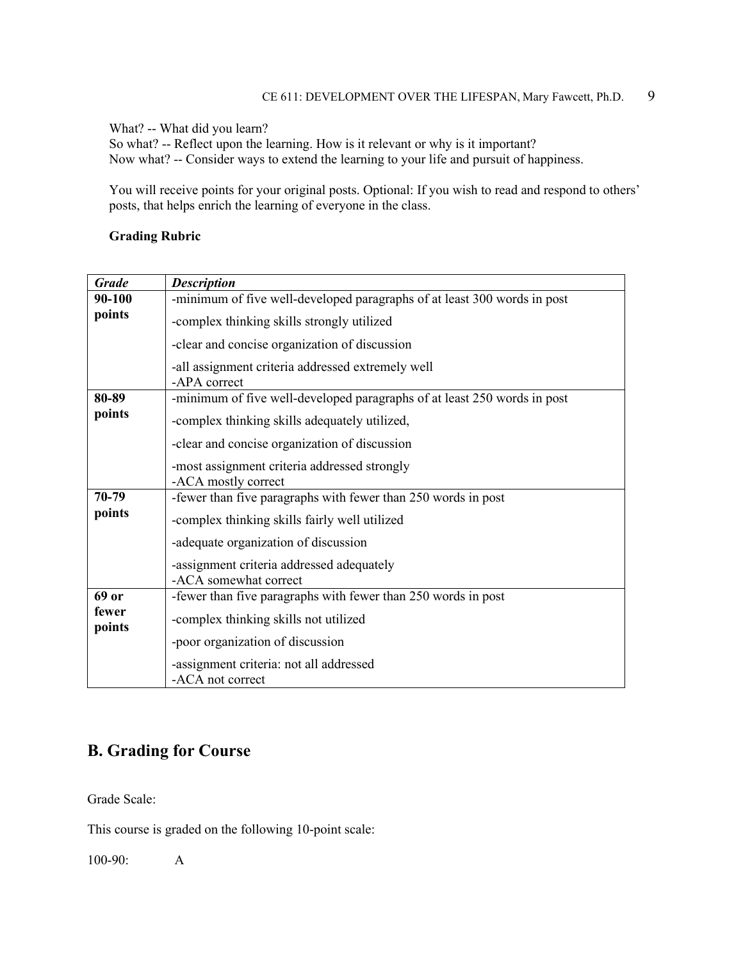What? -- What did you learn?

So what? -- Reflect upon the learning. How is it relevant or why is it important? Now what? -- Consider ways to extend the learning to your life and pursuit of happiness.

You will receive points for your original posts. Optional: If you wish to read and respond to others' posts, that helps enrich the learning of everyone in the class.

### **Grading Rubric**

| <b>Grade</b>    | <b>Description</b>                                                       |  |
|-----------------|--------------------------------------------------------------------------|--|
| 90-100          | -minimum of five well-developed paragraphs of at least 300 words in post |  |
| points          | -complex thinking skills strongly utilized                               |  |
|                 | -clear and concise organization of discussion                            |  |
|                 | -all assignment criteria addressed extremely well<br>-APA correct        |  |
| 80-89           | -minimum of five well-developed paragraphs of at least 250 words in post |  |
| points          | -complex thinking skills adequately utilized,                            |  |
|                 | -clear and concise organization of discussion                            |  |
|                 | -most assignment criteria addressed strongly<br>-ACA mostly correct      |  |
| 70-79           | -fewer than five paragraphs with fewer than 250 words in post            |  |
| points          | -complex thinking skills fairly well utilized                            |  |
|                 | -adequate organization of discussion                                     |  |
|                 | -assignment criteria addressed adequately                                |  |
|                 | -ACA somewhat correct                                                    |  |
| 69 or           | -fewer than five paragraphs with fewer than 250 words in post            |  |
| fewer<br>points | -complex thinking skills not utilized                                    |  |
|                 | -poor organization of discussion                                         |  |
|                 | -assignment criteria: not all addressed<br>-ACA not correct              |  |

# **B. Grading for Course**

Grade Scale:

This course is graded on the following 10-point scale:

100-90: A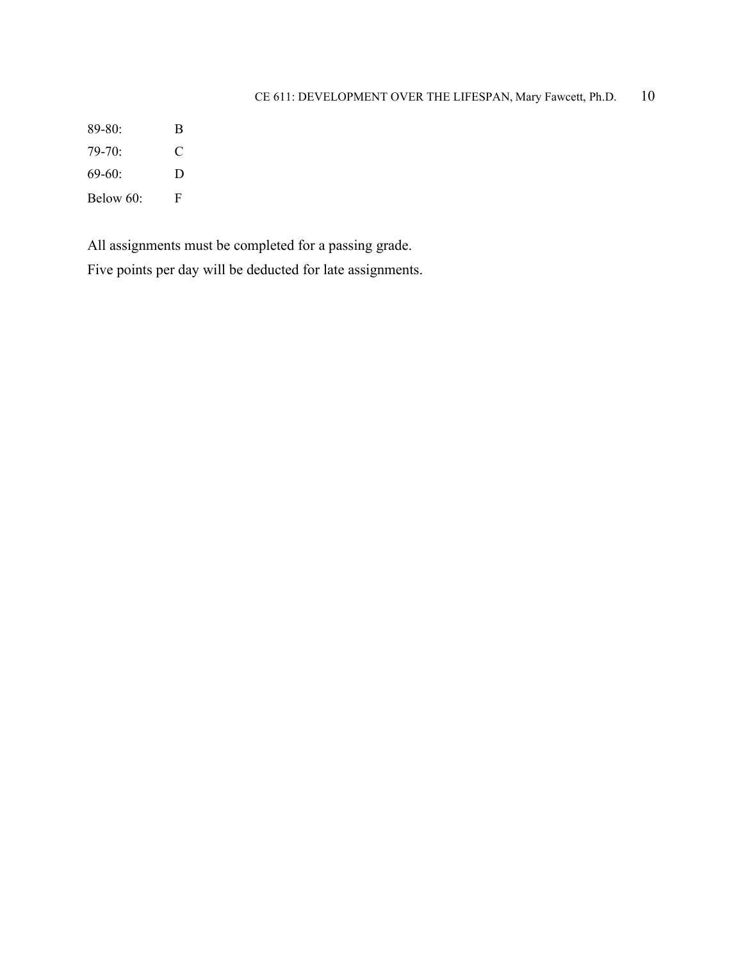# CE 611: DEVELOPMENT OVER THE LIFESPAN, Mary Fawcett, Ph.D. 10

89-80: B 79-70: C 69-60: D Below 60: F

All assignments must be completed for a passing grade.

Five points per day will be deducted for late assignments.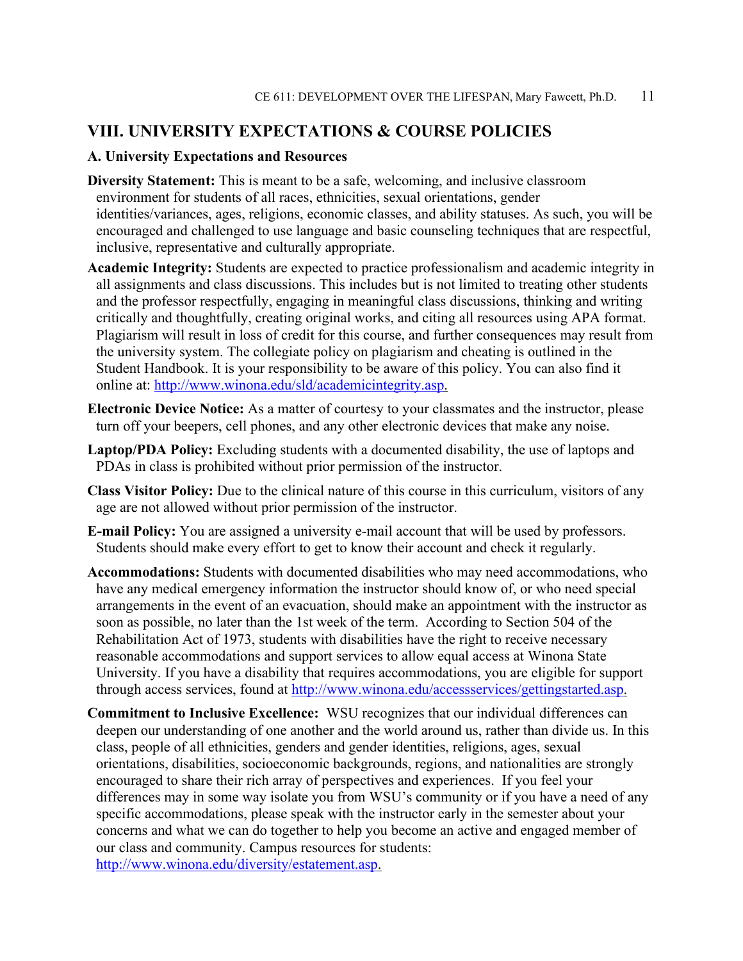## **VIII. UNIVERSITY EXPECTATIONS & COURSE POLICIES**

#### **A. University Expectations and Resources**

- **Diversity Statement:** This is meant to be a safe, welcoming, and inclusive classroom environment for students of all races, ethnicities, sexual orientations, gender identities/variances, ages, religions, economic classes, and ability statuses. As such, you will be encouraged and challenged to use language and basic counseling techniques that are respectful, inclusive, representative and culturally appropriate.
- **Academic Integrity:** Students are expected to practice professionalism and academic integrity in all assignments and class discussions. This includes but is not limited to treating other students and the professor respectfully, engaging in meaningful class discussions, thinking and writing critically and thoughtfully, creating original works, and citing all resources using APA format. Plagiarism will result in loss of credit for this course, and further consequences may result from the university system. The collegiate policy on plagiarism and cheating is outlined in the Student Handbook. It is your responsibility to be aware of this policy. You can also find it online at: [http://www.winona.edu/sld/academicintegrity.asp.](http://www.winona.edu/sld/academicintegrity.asp)
- **Electronic Device Notice:** As a matter of courtesy to your classmates and the instructor, please turn off your beepers, cell phones, and any other electronic devices that make any noise.
- **Laptop/PDA Policy:** Excluding students with a documented disability, the use of laptops and PDAs in class is prohibited without prior permission of the instructor.
- **Class Visitor Policy:** Due to the clinical nature of this course in this curriculum, visitors of any age are not allowed without prior permission of the instructor.
- **E-mail Policy:** You are assigned a university e-mail account that will be used by professors. Students should make every effort to get to know their account and check it regularly.
- **Accommodations:** Students with documented disabilities who may need accommodations, who have any medical emergency information the instructor should know of, or who need special arrangements in the event of an evacuation, should make an appointment with the instructor as soon as possible, no later than the 1st week of the term. According to Section 504 of the Rehabilitation Act of 1973, students with disabilities have the right to receive necessary reasonable accommodations and support services to allow equal access at Winona State University. If you have a disability that requires accommodations, you are eligible for support through access services, found at [http://www.winona.edu/accessservices/gettingstarted.asp.](http://www.winona.edu/accessservices/gettingstarted.asp)
- **Commitment to Inclusive Excellence:** WSU recognizes that our individual differences can deepen our understanding of one another and the world around us, rather than divide us. In this class, people of all ethnicities, genders and gender identities, religions, ages, sexual orientations, disabilities, socioeconomic backgrounds, regions, and nationalities are strongly encouraged to share their rich array of perspectives and experiences. If you feel your differences may in some way isolate you from WSU's community or if you have a need of any specific accommodations, please speak with the instructor early in the semester about your concerns and what we can do together to help you become an active and engaged member of our class and community. Campus resources for students: [http://www.winona.edu/diversity/estatement.asp.](http://www.winona.edu/diversity/estatement.asp)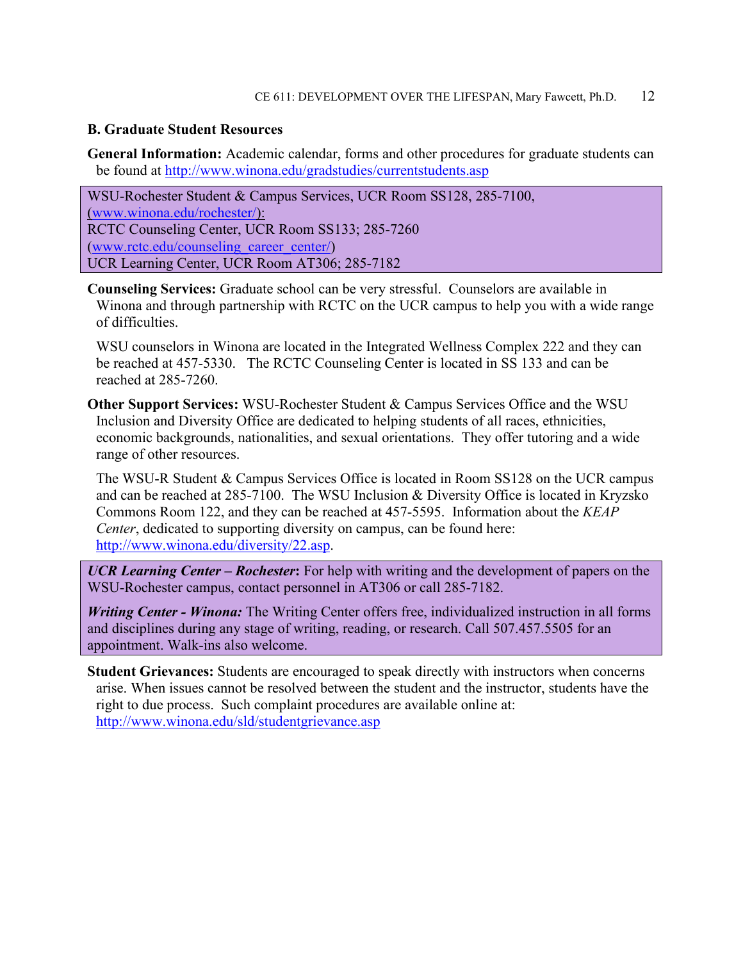#### **B. Graduate Student Resources**

**General Information:** Academic calendar, forms and other procedures for graduate students can be found at<http://www.winona.edu/gradstudies/currentstudents.asp>

WSU-Rochester Student & Campus Services, UCR Room SS128, 285-7100, [\(www.winona.edu/rochester/\)](http://www.winona.edu/rochester/): RCTC Counseling Center, UCR Room SS133; 285-7260 [\(www.rctc.edu/counseling\\_career\\_center/\)](http://www.rctc.edu/counseling_career_center/) UCR Learning Center, UCR Room AT306; 285-7182

**Counseling Services:** Graduate school can be very stressful. Counselors are available in Winona and through partnership with RCTC on the UCR campus to help you with a wide range of difficulties.

WSU counselors in Winona are located in the Integrated Wellness Complex 222 and they can be reached at 457-5330. The RCTC Counseling Center is located in SS 133 and can be reached at 285-7260.

**Other Support Services:** WSU-Rochester Student & Campus Services Office and the WSU Inclusion and Diversity Office are dedicated to helping students of all races, ethnicities, economic backgrounds, nationalities, and sexual orientations. They offer tutoring and a wide range of other resources.

The WSU-R Student & Campus Services Office is located in Room SS128 on the UCR campus and can be reached at 285-7100. The WSU Inclusion & Diversity Office is located in Kryzsko Commons Room 122, and they can be reached at 457-5595. Information about the *KEAP Center*, dedicated to supporting diversity on campus, can be found here: [http://www.winona.edu/diversity/22.asp.](http://www.winona.edu/diversity/22.asp)

*UCR Learning Center – Rochester***:** For help with writing and the development of papers on the WSU-Rochester campus, contact personnel in AT306 or call 285-7182.

*Writing Center - Winona:* The Writing Center offers free, individualized instruction in all forms and disciplines during any stage of writing, reading, or research. Call 507.457.5505 for an appointment. Walk-ins also welcome.

**Student Grievances:** Students are encouraged to speak directly with instructors when concerns arise. When issues cannot be resolved between the student and the instructor, students have the right to due process. Such complaint procedures are available online at: <http://www.winona.edu/sld/studentgrievance.asp>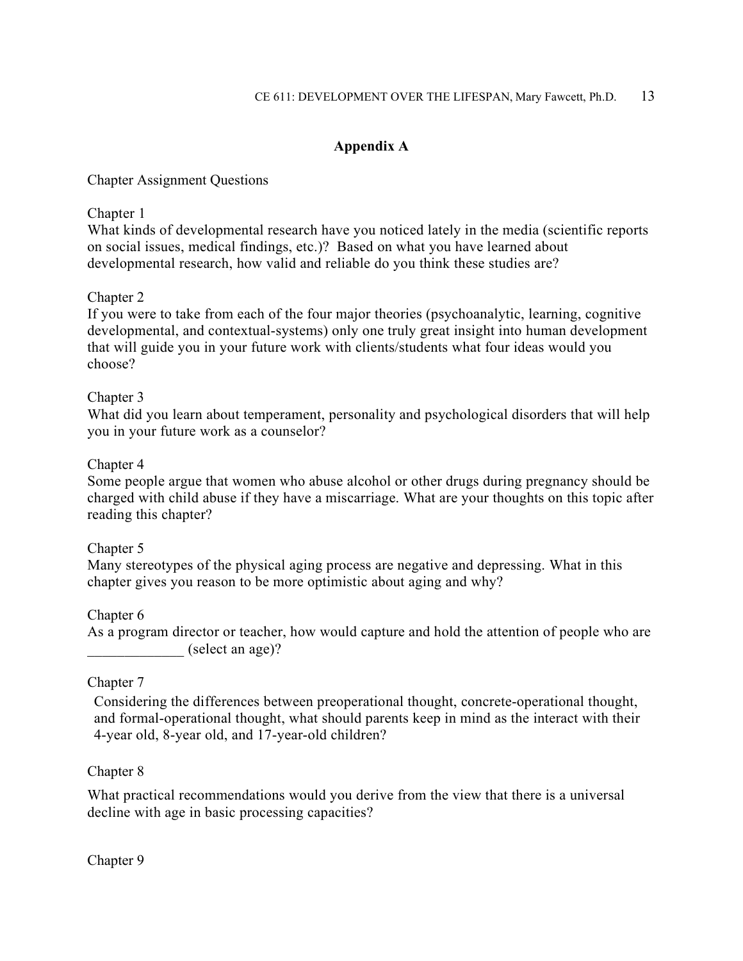# **Appendix A**

### Chapter Assignment Questions

### Chapter 1

What kinds of developmental research have you noticed lately in the media (scientific reports on social issues, medical findings, etc.)? Based on what you have learned about developmental research, how valid and reliable do you think these studies are?

## Chapter 2

If you were to take from each of the four major theories (psychoanalytic, learning, cognitive developmental, and contextual-systems) only one truly great insight into human development that will guide you in your future work with clients/students what four ideas would you choose?

### Chapter 3

What did you learn about temperament, personality and psychological disorders that will help you in your future work as a counselor?

#### Chapter 4

Some people argue that women who abuse alcohol or other drugs during pregnancy should be charged with child abuse if they have a miscarriage. What are your thoughts on this topic after reading this chapter?

#### Chapter 5

Many stereotypes of the physical aging process are negative and depressing. What in this chapter gives you reason to be more optimistic about aging and why?

#### Chapter 6

As a program director or teacher, how would capture and hold the attention of people who are  $\text{(select an age)}$ ?

## Chapter 7

Considering the differences between preoperational thought, concrete-operational thought, and formal-operational thought, what should parents keep in mind as the interact with their 4-year old, 8-year old, and 17-year-old children?

#### Chapter 8

What practical recommendations would you derive from the view that there is a universal decline with age in basic processing capacities?

#### Chapter 9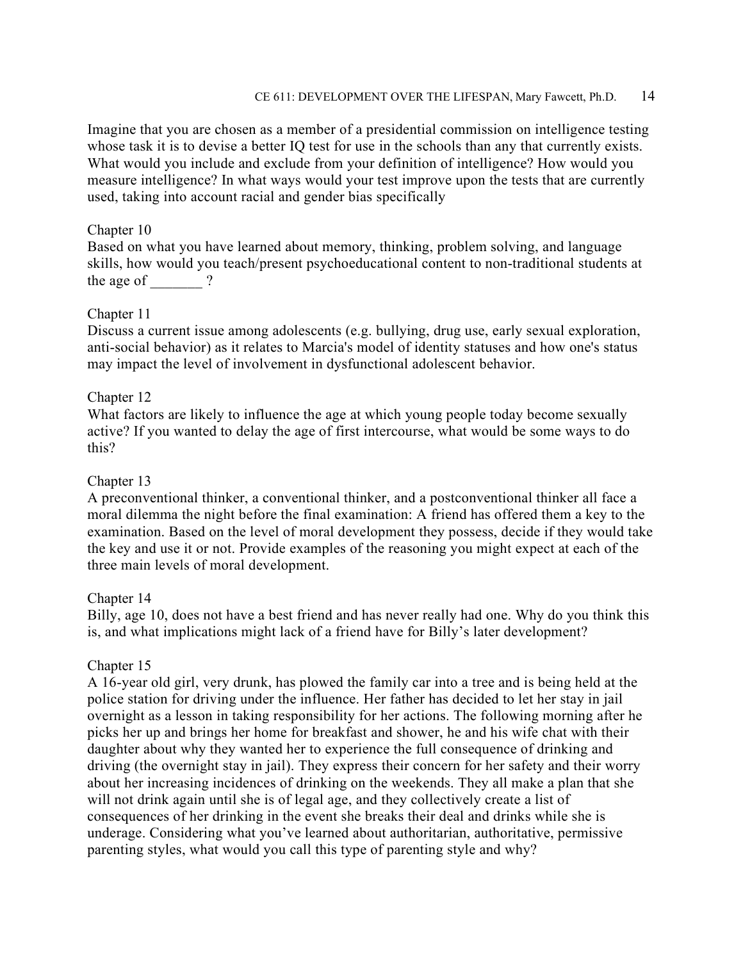Imagine that you are chosen as a member of a presidential commission on intelligence testing whose task it is to devise a better IQ test for use in the schools than any that currently exists. What would you include and exclude from your definition of intelligence? How would you measure intelligence? In what ways would your test improve upon the tests that are currently used, taking into account racial and gender bias specifically

#### Chapter 10

Based on what you have learned about memory, thinking, problem solving, and language skills, how would you teach/present psychoeducational content to non-traditional students at the age of  $\qquad$  ?

### Chapter 11

Discuss a current issue among adolescents (e.g. bullying, drug use, early sexual exploration, anti-social behavior) as it relates to Marcia's model of identity statuses and how one's status may impact the level of involvement in dysfunctional adolescent behavior.

### Chapter 12

What factors are likely to influence the age at which young people today become sexually active? If you wanted to delay the age of first intercourse, what would be some ways to do this?

#### Chapter 13

A preconventional thinker, a conventional thinker, and a postconventional thinker all face a moral dilemma the night before the final examination: A friend has offered them a key to the examination. Based on the level of moral development they possess, decide if they would take the key and use it or not. Provide examples of the reasoning you might expect at each of the three main levels of moral development.

#### Chapter 14

Billy, age 10, does not have a best friend and has never really had one. Why do you think this is, and what implications might lack of a friend have for Billy's later development?

#### Chapter 15

A 16-year old girl, very drunk, has plowed the family car into a tree and is being held at the police station for driving under the influence. Her father has decided to let her stay in jail overnight as a lesson in taking responsibility for her actions. The following morning after he picks her up and brings her home for breakfast and shower, he and his wife chat with their daughter about why they wanted her to experience the full consequence of drinking and driving (the overnight stay in jail). They express their concern for her safety and their worry about her increasing incidences of drinking on the weekends. They all make a plan that she will not drink again until she is of legal age, and they collectively create a list of consequences of her drinking in the event she breaks their deal and drinks while she is underage. Considering what you've learned about authoritarian, authoritative, permissive parenting styles, what would you call this type of parenting style and why?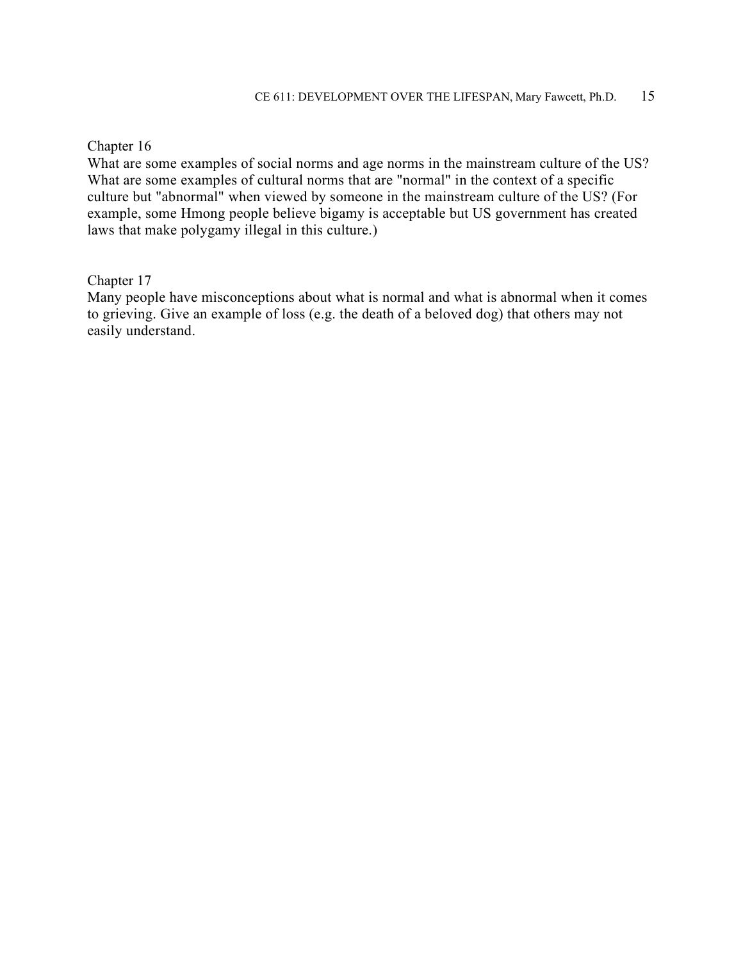#### Chapter 16

What are some examples of social norms and age norms in the mainstream culture of the US? What are some examples of cultural norms that are "normal" in the context of a specific culture but "abnormal" when viewed by someone in the mainstream culture of the US? (For example, some Hmong people believe bigamy is acceptable but US government has created laws that make polygamy illegal in this culture.)

### Chapter 17

Many people have misconceptions about what is normal and what is abnormal when it comes to grieving. Give an example of loss (e.g. the death of a beloved dog) that others may not easily understand.